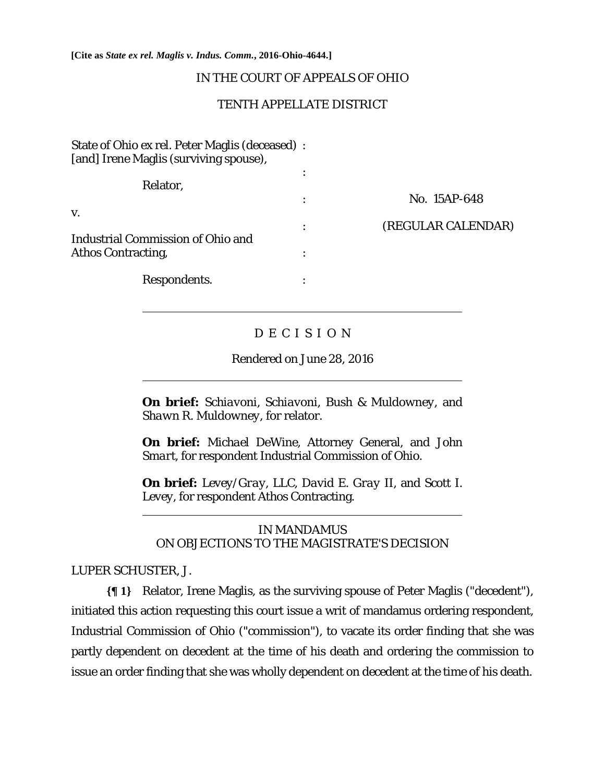**[Cite as** *State ex rel. Maglis v. Indus. Comm.***, 2016-Ohio-4644.]**

## IN THE COURT OF APPEALS OF OHIO

## TENTH APPELLATE DISTRICT

| State of Ohio ex rel. Peter Maglis (deceased) :<br>[and] Irene Maglis (surviving spouse), |           |                    |
|-------------------------------------------------------------------------------------------|-----------|--------------------|
|                                                                                           |           |                    |
| Relator,                                                                                  |           |                    |
|                                                                                           |           | No. 15AP-648       |
| V.                                                                                        |           |                    |
|                                                                                           | $\bullet$ | (REGULAR CALENDAR) |
| <b>Industrial Commission of Ohio and</b>                                                  |           |                    |
| <b>Athos Contracting,</b>                                                                 |           |                    |
| Respondents.                                                                              | ٠         |                    |

# D E C I S I O N

## Rendered on June 28, 2016

**On brief:** *Schiavoni, Schiavoni, Bush & Muldowney,* and *Shawn R. Muldowney,* for relator.

**On brief:** *Michael DeWine*, Attorney General, and *John Smart,* for respondent Industrial Commission of Ohio.

**On brief:** *Levey/Gray, LLC*, *David E. Gray II*, and *Scott I. Levey*, for respondent Athos Contracting.

## IN MANDAMUS ON OBJECTIONS TO THE MAGISTRATE'S DECISION

## LUPER SCHUSTER, J.

l

 $\overline{a}$ 

 $\overline{a}$ 

**{¶ 1}** Relator, Irene Maglis, as the surviving spouse of Peter Maglis ("decedent"), initiated this action requesting this court issue a writ of mandamus ordering respondent, Industrial Commission of Ohio ("commission"), to vacate its order finding that she was partly dependent on decedent at the time of his death and ordering the commission to issue an order finding that she was wholly dependent on decedent at the time of his death.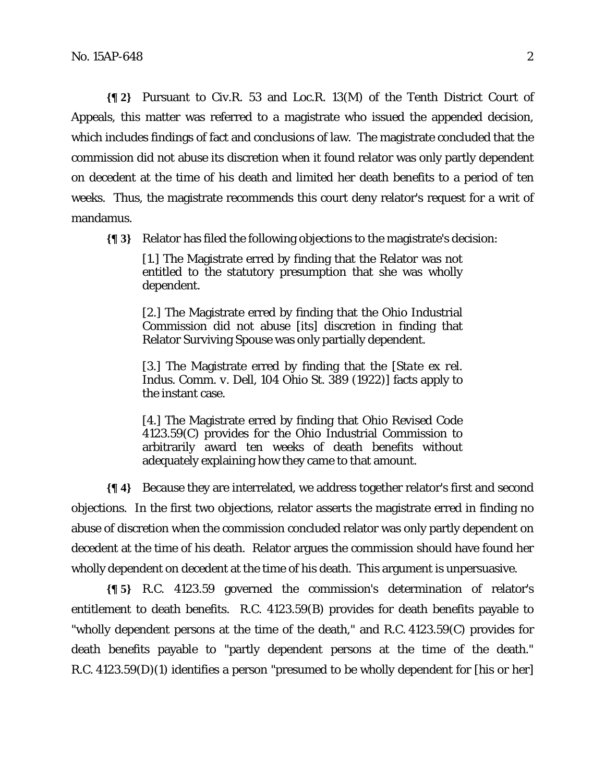**{¶ 2}** Pursuant to Civ.R. 53 and Loc.R. 13(M) of the Tenth District Court of Appeals, this matter was referred to a magistrate who issued the appended decision, which includes findings of fact and conclusions of law. The magistrate concluded that the commission did not abuse its discretion when it found relator was only partly dependent on decedent at the time of his death and limited her death benefits to a period of ten weeks. Thus, the magistrate recommends this court deny relator's request for a writ of mandamus.

**{¶ 3}** Relator has filed the following objections to the magistrate's decision:

[1.] The Magistrate erred by finding that the Relator was not entitled to the statutory presumption that she was wholly dependent.

[2.] The Magistrate erred by finding that the Ohio Industrial Commission did not abuse [its] discretion in finding that Relator Surviving Spouse was only partially dependent.

[3.] The Magistrate erred by finding that the [*State ex rel. Indus. Comm. v. Dell*, 104 Ohio St. 389 (1922)] facts apply to the instant case.

[4.] The Magistrate erred by finding that Ohio Revised Code 4123.59(C) provides for the Ohio Industrial Commission to arbitrarily award ten weeks of death benefits without adequately explaining how they came to that amount.

**{¶ 4}** Because they are interrelated, we address together relator's first and second objections. In the first two objections, relator asserts the magistrate erred in finding no abuse of discretion when the commission concluded relator was only partly dependent on decedent at the time of his death. Relator argues the commission should have found her wholly dependent on decedent at the time of his death. This argument is unpersuasive.

**{¶ 5}** R.C. 4123.59 governed the commission's determination of relator's entitlement to death benefits. R.C. 4123.59(B) provides for death benefits payable to "wholly dependent persons at the time of the death," and R.C. 4123.59(C) provides for death benefits payable to "partly dependent persons at the time of the death." R.C. 4123.59(D)(1) identifies a person "presumed to be wholly dependent for [his or her]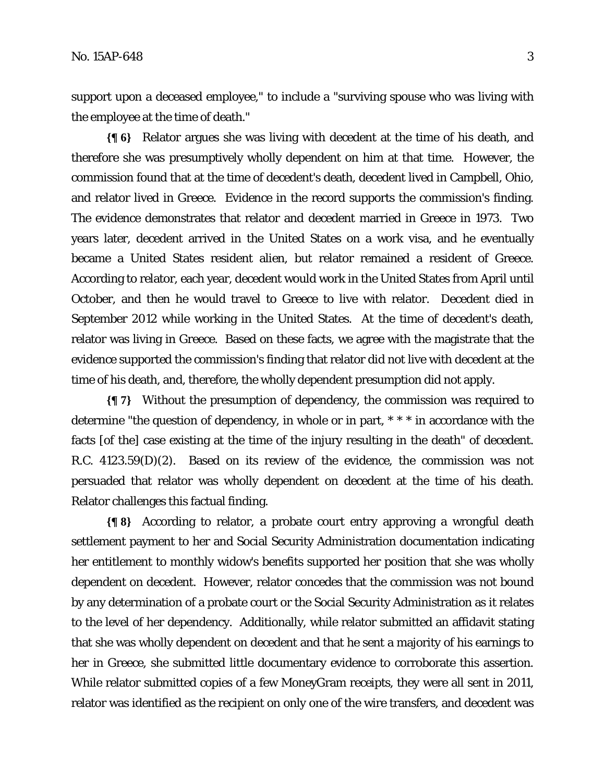support upon a deceased employee," to include a "surviving spouse who was living with the employee at the time of death."

**{¶ 6}** Relator argues she was living with decedent at the time of his death, and therefore she was presumptively wholly dependent on him at that time. However, the commission found that at the time of decedent's death, decedent lived in Campbell, Ohio, and relator lived in Greece. Evidence in the record supports the commission's finding. The evidence demonstrates that relator and decedent married in Greece in 1973. Two years later, decedent arrived in the United States on a work visa, and he eventually became a United States resident alien, but relator remained a resident of Greece. According to relator, each year, decedent would work in the United States from April until October, and then he would travel to Greece to live with relator. Decedent died in September 2012 while working in the United States. At the time of decedent's death, relator was living in Greece. Based on these facts, we agree with the magistrate that the evidence supported the commission's finding that relator did not live with decedent at the time of his death, and, therefore, the wholly dependent presumption did not apply.

**{¶ 7}** Without the presumption of dependency, the commission was required to determine "the question of dependency, in whole or in part, \* \* \* in accordance with the facts [of the] case existing at the time of the injury resulting in the death" of decedent. R.C. 4123.59(D)(2). Based on its review of the evidence, the commission was not persuaded that relator was wholly dependent on decedent at the time of his death. Relator challenges this factual finding.

**{¶ 8}** According to relator, a probate court entry approving a wrongful death settlement payment to her and Social Security Administration documentation indicating her entitlement to monthly widow's benefits supported her position that she was wholly dependent on decedent. However, relator concedes that the commission was not bound by any determination of a probate court or the Social Security Administration as it relates to the level of her dependency. Additionally, while relator submitted an affidavit stating that she was wholly dependent on decedent and that he sent a majority of his earnings to her in Greece, she submitted little documentary evidence to corroborate this assertion. While relator submitted copies of a few MoneyGram receipts, they were all sent in 2011, relator was identified as the recipient on only one of the wire transfers, and decedent was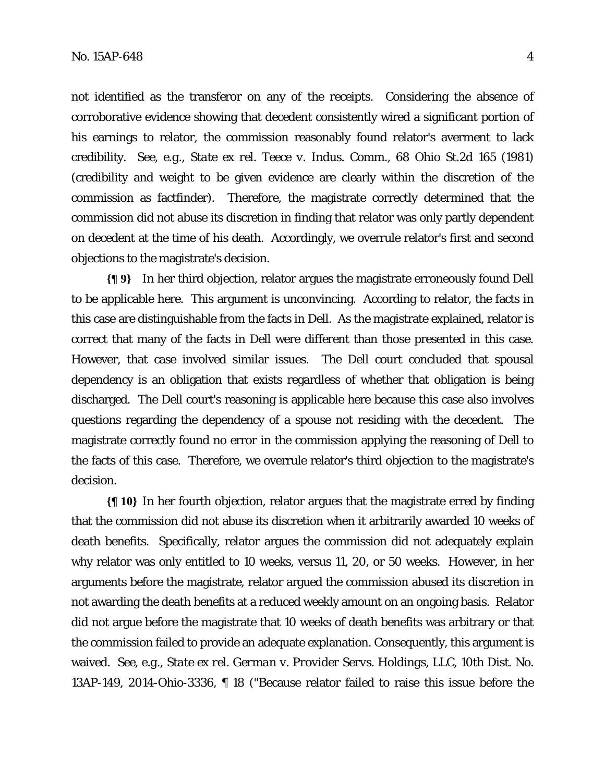not identified as the transferor on any of the receipts. Considering the absence of corroborative evidence showing that decedent consistently wired a significant portion of his earnings to relator, the commission reasonably found relator's averment to lack credibility. *See, e.g.*, *State ex rel. Teece v. Indus. Comm.*, 68 Ohio St.2d 165 (1981) (credibility and weight to be given evidence are clearly within the discretion of the commission as factfinder). Therefore, the magistrate correctly determined that the commission did not abuse its discretion in finding that relator was only partly dependent on decedent at the time of his death. Accordingly, we overrule relator's first and second objections to the magistrate's decision.

**{¶ 9}** In her third objection, relator argues the magistrate erroneously found *Dell* to be applicable here. This argument is unconvincing. According to relator, the facts in this case are distinguishable from the facts in *Dell*. As the magistrate explained, relator is correct that many of the facts in *Dell* were different than those presented in this case. However, that case involved similar issues. The *Dell* court concluded that spousal dependency is an obligation that exists regardless of whether that obligation is being discharged. The *Dell* court's reasoning is applicable here because this case also involves questions regarding the dependency of a spouse not residing with the decedent. The magistrate correctly found no error in the commission applying the reasoning of *Dell* to the facts of this case. Therefore, we overrule relator's third objection to the magistrate's decision.

**{¶ 10}** In her fourth objection, relator argues that the magistrate erred by finding that the commission did not abuse its discretion when it arbitrarily awarded 10 weeks of death benefits. Specifically, relator argues the commission did not adequately explain why relator was only entitled to 10 weeks, versus 11, 20, or 50 weeks. However, in her arguments before the magistrate, relator argued the commission abused its discretion in not awarding the death benefits at a reduced weekly amount on an ongoing basis. Relator did not argue before the magistrate that 10 weeks of death benefits was arbitrary or that the commission failed to provide an adequate explanation. Consequently, this argument is waived. *See, e.g.*, *State ex rel. German v. Provider Servs. Holdings, LLC*, 10th Dist. No. 13AP-149, 2014-Ohio-3336, ¶ 18 ("Because relator failed to raise this issue before the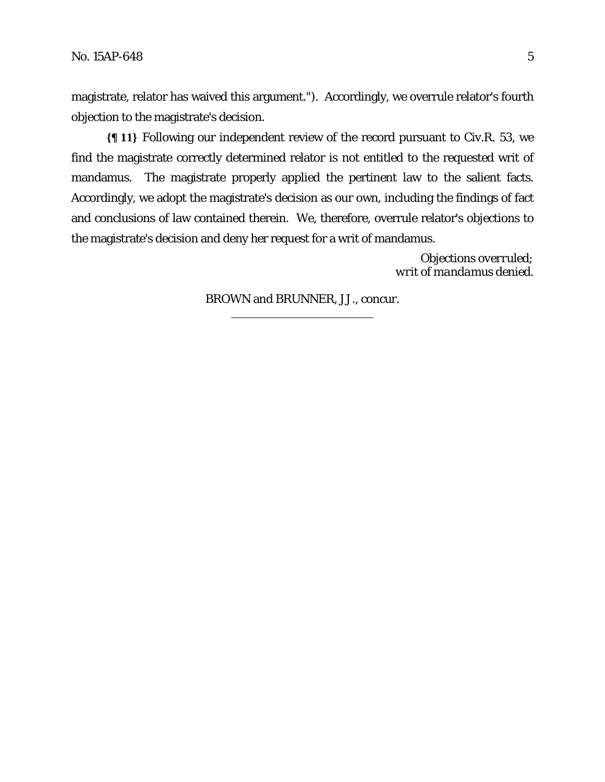magistrate, relator has waived this argument."). Accordingly, we overrule relator's fourth objection to the magistrate's decision.

**{¶ 11}** Following our independent review of the record pursuant to Civ.R. 53, we find the magistrate correctly determined relator is not entitled to the requested writ of mandamus. The magistrate properly applied the pertinent law to the salient facts. Accordingly, we adopt the magistrate's decision as our own, including the findings of fact and conclusions of law contained therein. We, therefore, overrule relator's objections to the magistrate's decision and deny her request for a writ of mandamus.

> *Objections overruled; writ of mandamus denied.*

BROWN and BRUNNER, JJ., concur.

l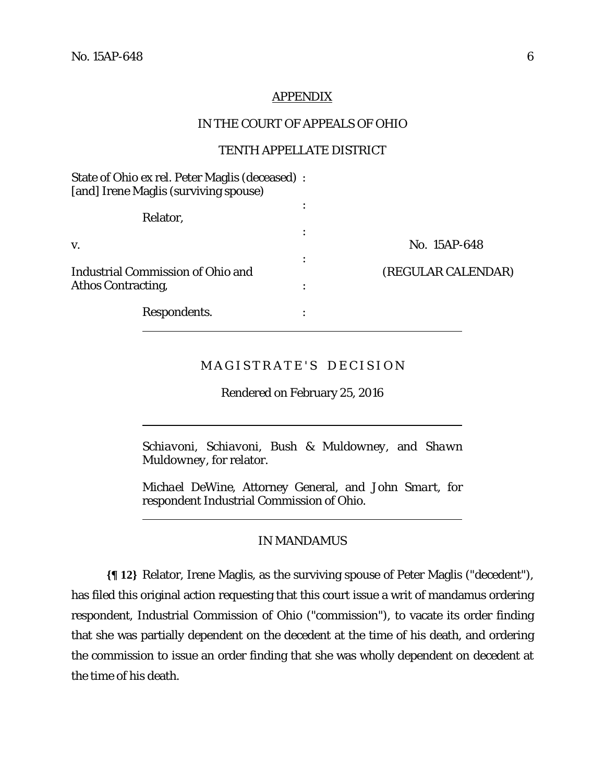$\overline{a}$ 

l

### **APPENDIX**

#### IN THE COURT OF APPEALS OF OHIO

### TENTH APPELLATE DISTRICT

| State of Ohio ex rel. Peter Maglis (deceased) :<br>[and] Irene Maglis (surviving spouse) |   |                    |
|------------------------------------------------------------------------------------------|---|--------------------|
| Relator,                                                                                 |   |                    |
| V.                                                                                       |   | No. 15AP-648       |
| <b>Industrial Commission of Ohio and</b><br><b>Athos Contracting,</b>                    | ٠ | (REGULAR CALENDAR) |
| Respondents.                                                                             |   |                    |

## MAGISTRATE'S DECISION

Rendered on February 25, 2016

*Schiavoni, Schiavoni, Bush & Muldowney,* and *Shawn Muldowney,* for relator.

*Michael DeWine*, Attorney General, and *John Smart,* for respondent Industrial Commission of Ohio.

### IN MANDAMUS

**{¶ 12}** Relator, Irene Maglis, as the surviving spouse of Peter Maglis ("decedent"), has filed this original action requesting that this court issue a writ of mandamus ordering respondent, Industrial Commission of Ohio ("commission"), to vacate its order finding that she was partially dependent on the decedent at the time of his death, and ordering the commission to issue an order finding that she was wholly dependent on decedent at the time of his death.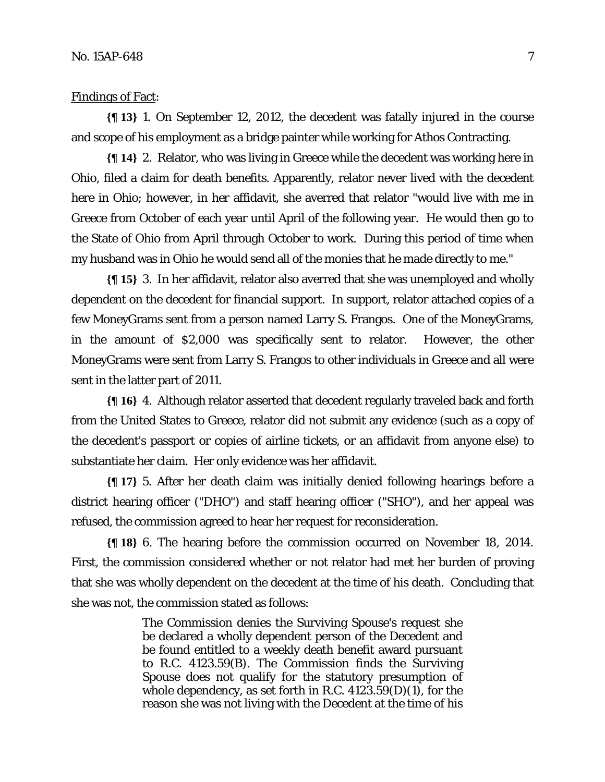### Findings of Fact:

**{¶ 13}** 1. On September 12, 2012, the decedent was fatally injured in the course and scope of his employment as a bridge painter while working for Athos Contracting.

**{¶ 14}** 2. Relator, who was living in Greece while the decedent was working here in Ohio, filed a claim for death benefits. Apparently, relator never lived with the decedent here in Ohio; however, in her affidavit, she averred that relator "would live with me in Greece from October of each year until April of the following year. He would then go to the State of Ohio from April through October to work. During this period of time when my husband was in Ohio he would send all of the monies that he made directly to me."

**{¶ 15}** 3. In her affidavit, relator also averred that she was unemployed and wholly dependent on the decedent for financial support. In support, relator attached copies of a few MoneyGrams sent from a person named Larry S. Frangos.One of the MoneyGrams, in the amount of \$2,000 was specifically sent to relator. However, the other MoneyGrams were sent from Larry S. Frangos to other individuals in Greece and all were sent in the latter part of 2011.

**{¶ 16}** 4. Although relator asserted that decedent regularly traveled back and forth from the United States to Greece, relator did not submit any evidence (such as a copy of the decedent's passport or copies of airline tickets, or an affidavit from anyone else) to substantiate her claim. Her only evidence was her affidavit.

**{¶ 17}** 5. After her death claim was initially denied following hearings before a district hearing officer ("DHO") and staff hearing officer ("SHO"), and her appeal was refused, the commission agreed to hear her request for reconsideration.

**{¶ 18}** 6. The hearing before the commission occurred on November 18, 2014. First, the commission considered whether or not relator had met her burden of proving that she was wholly dependent on the decedent at the time of his death. Concluding that she was not, the commission stated as follows:

> The Commission denies the Surviving Spouse's request she be declared a wholly dependent person of the Decedent and be found entitled to a weekly death benefit award pursuant to R.C. 4123.59(B). The Commission finds the Surviving Spouse does not qualify for the statutory presumption of whole dependency, as set forth in R.C.  $4123.59(D)(1)$ , for the reason she was not living with the Decedent at the time of his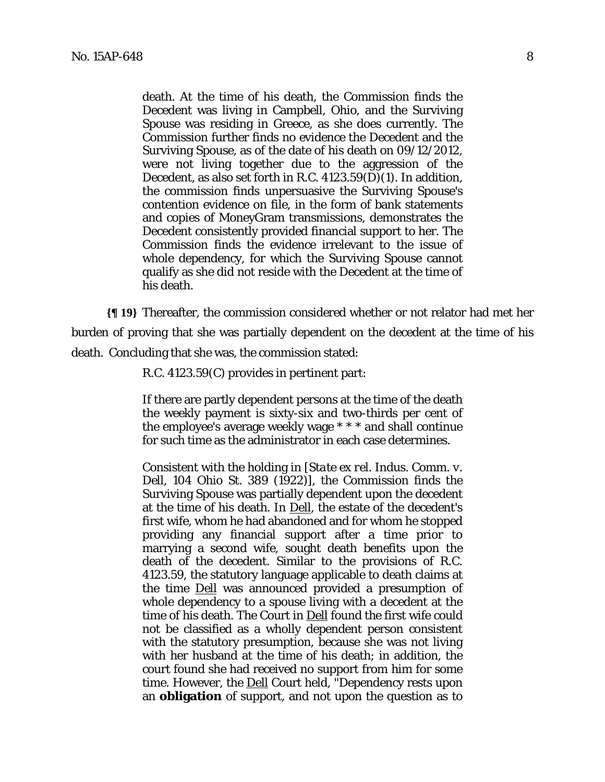death. At the time of his death, the Commission finds the Decedent was living in Campbell, Ohio, and the Surviving Spouse was residing in Greece, as she does currently. The Commission further finds no evidence the Decedent and the Surviving Spouse, as of the date of his death on 09/12/2012, were not living together due to the aggression of the Decedent, as also set forth in R.C. 4123.59(D)(1). In addition, the commission finds unpersuasive the Surviving Spouse's contention evidence on file, in the form of bank statements and copies of MoneyGram transmissions, demonstrates the Decedent consistently provided financial support to her. The Commission finds the evidence irrelevant to the issue of whole dependency, for which the Surviving Spouse cannot qualify as she did not reside with the Decedent at the time of his death.

**{¶ 19}** Thereafter, the commission considered whether or not relator had met her burden of proving that she was partially dependent on the decedent at the time of his death. Concluding that she was, the commission stated:

R.C. 4123.59(C) provides in pertinent part:

If there are partly dependent persons at the time of the death the weekly payment is sixty-six and two-thirds per cent of the employee's average weekly wage \* \* \* and shall continue for such time as the administrator in each case determines.

Consistent with the holding in [*State ex rel. Indus. Comm. v. Dell,* 104 Ohio St. 389 (1922)], the Commission finds the Surviving Spouse was partially dependent upon the decedent at the time of his death. In Dell, the estate of the decedent's first wife, whom he had abandoned and for whom he stopped providing any financial support after a time prior to marrying a second wife, sought death benefits upon the death of the decedent. Similar to the provisions of R.C. 4123.59, the statutory language applicable to death claims at the time Dell was announced provided a presumption of whole dependency to a spouse living with a decedent at the time of his death. The Court in Dell found the first wife could not be classified as a wholly dependent person consistent with the statutory presumption, because she was not living with her husband at the time of his death; in addition, the court found she had received no support from him for some time. However, the **Dell** Court held, "Dependency rests upon an **obligation** of support, and not upon the question as to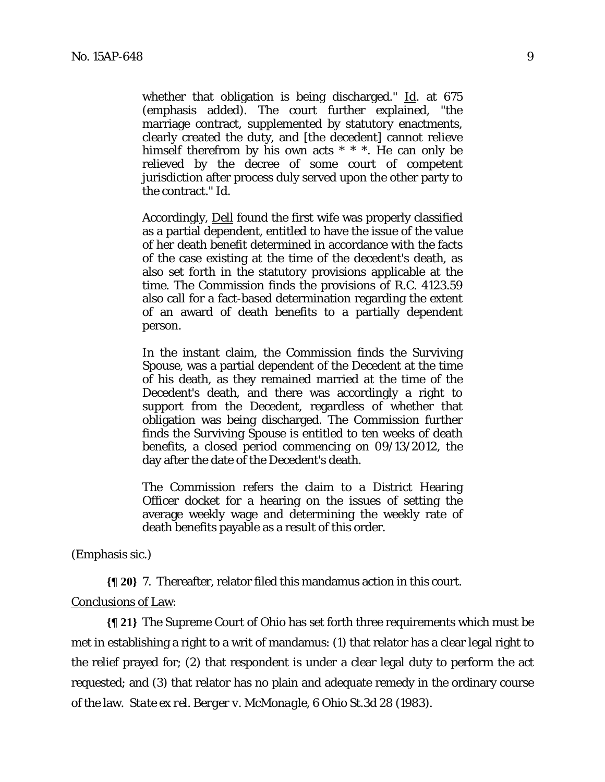whether that obligation is being discharged." Id. at 675 (emphasis added). The court further explained, "the marriage contract, supplemented by statutory enactments, clearly created the duty, and [the decedent] cannot relieve himself therefrom by his own acts \* \* \*. He can only be relieved by the decree of some court of competent jurisdiction after process duly served upon the other party to the contract." Id.

Accordingly, Dell found the first wife was properly classified as a partial dependent, entitled to have the issue of the value of her death benefit determined in accordance with the facts of the case existing at the time of the decedent's death, as also set forth in the statutory provisions applicable at the time. The Commission finds the provisions of R.C. 4123.59 also call for a fact-based determination regarding the extent of an award of death benefits to a partially dependent person.

In the instant claim, the Commission finds the Surviving Spouse, was a partial dependent of the Decedent at the time of his death, as they remained married at the time of the Decedent's death, and there was accordingly a right to support from the Decedent, regardless of whether that obligation was being discharged. The Commission further finds the Surviving Spouse is entitled to ten weeks of death benefits, a closed period commencing on 09/13/2012, the day after the date of the Decedent's death.

The Commission refers the claim to a District Hearing Officer docket for a hearing on the issues of setting the average weekly wage and determining the weekly rate of death benefits payable as a result of this order.

(Emphasis sic.)

**{¶ 20}** 7. Thereafter, relator filed this mandamus action in this court.

### Conclusions of Law:

**{¶ 21}** The Supreme Court of Ohio has set forth three requirements which must be met in establishing a right to a writ of mandamus: (1) that relator has a clear legal right to the relief prayed for; (2) that respondent is under a clear legal duty to perform the act requested; and (3) that relator has no plain and adequate remedy in the ordinary course of the law. *State ex rel. Berger v. McMonagle*, 6 Ohio St.3d 28 (1983).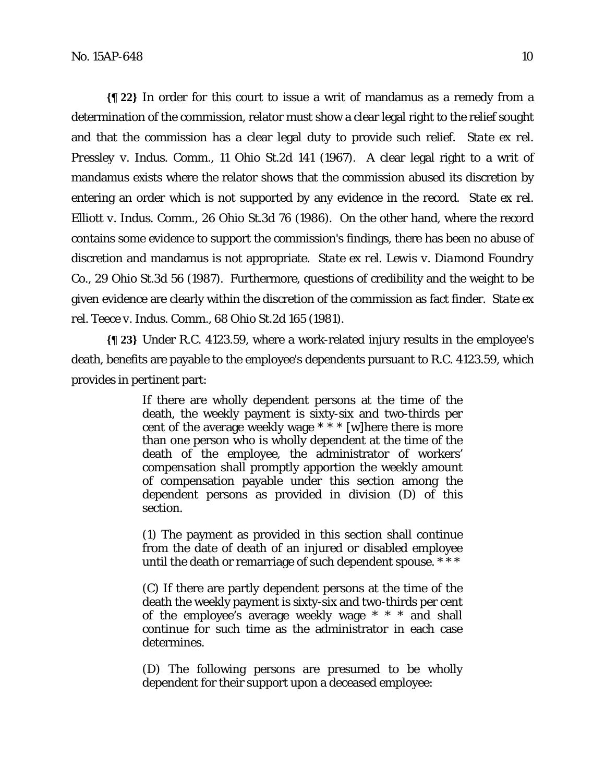**{¶ 22}** In order for this court to issue a writ of mandamus as a remedy from a determination of the commission, relator must show a clear legal right to the relief sought and that the commission has a clear legal duty to provide such relief. *State ex rel. Pressley v. Indus. Comm.*, 11 Ohio St.2d 141 (1967). A clear legal right to a writ of mandamus exists where the relator shows that the commission abused its discretion by entering an order which is not supported by any evidence in the record. *State ex rel. Elliott v. Indus. Comm.*, 26 Ohio St.3d 76 (1986). On the other hand, where the record contains some evidence to support the commission's findings, there has been no abuse of discretion and mandamus is not appropriate. *State ex rel. Lewis v. Diamond Foundry Co.*, 29 Ohio St.3d 56 (1987). Furthermore, questions of credibility and the weight to be given evidence are clearly within the discretion of the commission as fact finder. *State ex rel. Teece v. Indus. Comm.*, 68 Ohio St.2d 165 (1981).

**{¶ 23}** Under R.C. 4123.59, where a work-related injury results in the employee's death, benefits are payable to the employee's dependents pursuant to R.C. 4123.59, which provides in pertinent part:

> If there are wholly dependent persons at the time of the death, the weekly payment is sixty-six and two-thirds per cent of the average weekly wage  $* * *$  [w] here there is more than one person who is wholly dependent at the time of the death of the employee, the administrator of workers' compensation shall promptly apportion the weekly amount of compensation payable under this section among the dependent persons as provided in division (D) of this section.

> (1) The payment as provided in this section shall continue from the date of death of an injured or disabled employee until the death or remarriage of such dependent spouse. \* \* \*

> (C) If there are partly dependent persons at the time of the death the weekly payment is sixty-six and two-thirds per cent of the employee's average weekly wage \* \* \* and shall continue for such time as the administrator in each case determines.

> (D) The following persons are presumed to be wholly dependent for their support upon a deceased employee: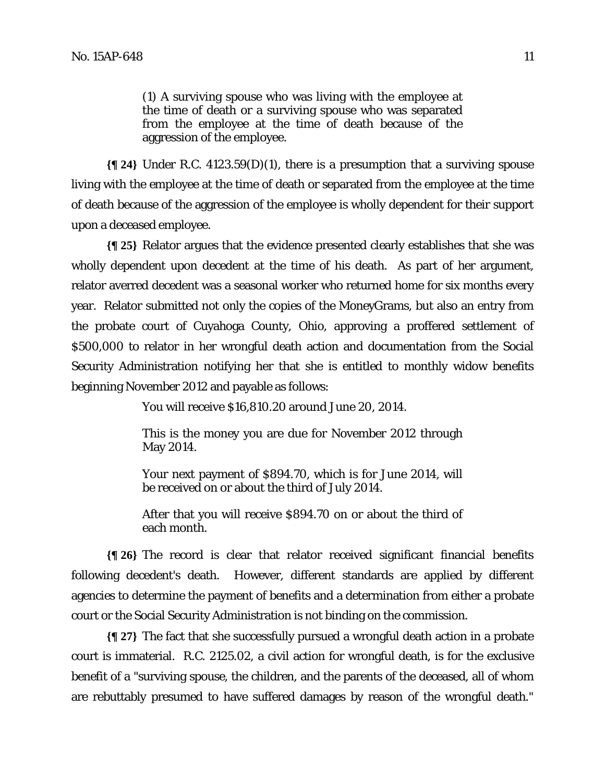(1) A surviving spouse who was living with the employee at the time of death or a surviving spouse who was separated from the employee at the time of death because of the aggression of the employee.

**{¶ 24}** Under R.C. 4123.59(D)(1), there is a presumption that a surviving spouse living with the employee at the time of death or separated from the employee at the time of death because of the aggression of the employee is wholly dependent for their support upon a deceased employee.

**{¶ 25}** Relator argues that the evidence presented clearly establishes that she was wholly dependent upon decedent at the time of his death. As part of her argument, relator averred decedent was a seasonal worker who returned home for six months every year. Relator submitted not only the copies of the MoneyGrams, but also an entry from the probate court of Cuyahoga County, Ohio, approving a proffered settlement of \$500,000 to relator in her wrongful death action and documentation from the Social Security Administration notifying her that she is entitled to monthly widow benefits beginning November 2012 and payable as follows:

You will receive \$16,810.20 around June 20, 2014.

This is the money you are due for November 2012 through May 2014.

Your next payment of \$894.70, which is for June 2014, will be received on or about the third of July 2014.

After that you will receive \$894.70 on or about the third of each month.

**{¶ 26}** The record is clear that relator received significant financial benefits following decedent's death. However, different standards are applied by different agencies to determine the payment of benefits and a determination from either a probate court or the Social Security Administration is not binding on the commission.

**{¶ 27}** The fact that she successfully pursued a wrongful death action in a probate court is immaterial. R.C. 2125.02, a civil action for wrongful death, is for the exclusive benefit of a "surviving spouse, the children, and the parents of the deceased, all of whom are rebuttably presumed to have suffered damages by reason of the wrongful death."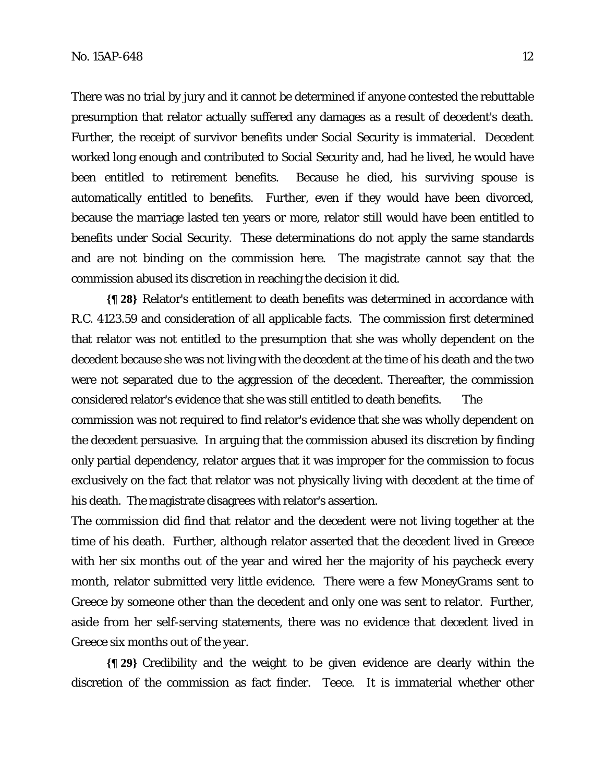There was no trial by jury and it cannot be determined if anyone contested the rebuttable presumption that relator actually suffered any damages as a result of decedent's death. Further, the receipt of survivor benefits under Social Security is immaterial. Decedent worked long enough and contributed to Social Security and, had he lived, he would have been entitled to retirement benefits. Because he died, his surviving spouse is automatically entitled to benefits. Further, even if they would have been divorced, because the marriage lasted ten years or more, relator still would have been entitled to benefits under Social Security. These determinations do not apply the same standards and are not binding on the commission here. The magistrate cannot say that the commission abused its discretion in reaching the decision it did.

**{¶ 28}** Relator's entitlement to death benefits was determined in accordance with R.C. 4123.59 and consideration of all applicable facts. The commission first determined that relator was not entitled to the presumption that she was wholly dependent on the decedent because she was not living with the decedent at the time of his death and the two were not separated due to the aggression of the decedent. Thereafter, the commission considered relator's evidence that she was still entitled to death benefits. The commission was not required to find relator's evidence that she was wholly dependent on the decedent persuasive. In arguing that the commission abused its discretion by finding only partial dependency, relator argues that it was improper for the commission to focus exclusively on the fact that relator was not physically living with decedent at the time of his death. The magistrate disagrees with relator's assertion.

The commission did find that relator and the decedent were not living together at the time of his death. Further, although relator asserted that the decedent lived in Greece with her six months out of the year and wired her the majority of his paycheck every month, relator submitted very little evidence. There were a few MoneyGrams sent to Greece by someone other than the decedent and only one was sent to relator. Further, aside from her self-serving statements, there was no evidence that decedent lived in Greece six months out of the year.

**{¶ 29}** Credibility and the weight to be given evidence are clearly within the discretion of the commission as fact finder. *Teece*. It is immaterial whether other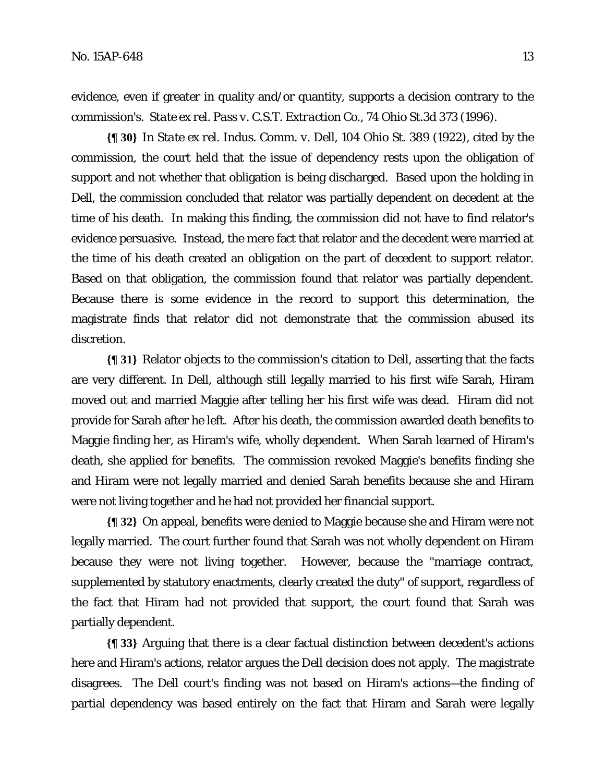evidence, even if greater in quality and/or quantity, supports a decision contrary to the commission's. *State ex rel. Pass v. C.S.T. Extraction Co.*, 74 Ohio St.3d 373 (1996).

**{¶ 30}** In *State ex rel. Indus. Comm. v. Dell,* 104 Ohio St. 389 (1922)*,* cited by the commission, the court held that the issue of dependency rests upon the obligation of support and not whether that obligation is being discharged. Based upon the holding in *Dell,* the commission concluded that relator was partially dependent on decedent at the time of his death. In making this finding, the commission did not have to find relator's evidence persuasive. Instead, the mere fact that relator and the decedent were married at the time of his death created an obligation on the part of decedent to support relator. Based on that obligation, the commission found that relator was partially dependent. Because there is some evidence in the record to support this determination, the magistrate finds that relator did not demonstrate that the commission abused its discretion.

**{¶ 31}** Relator objects to the commission's citation to *Dell,* asserting that the facts are very different. In *Dell*, although still legally married to his first wife Sarah, Hiram moved out and married Maggie after telling her his first wife was dead. Hiram did not provide for Sarah after he left. After his death, the commission awarded death benefits to Maggie finding her, as Hiram's wife, wholly dependent. When Sarah learned of Hiram's death, she applied for benefits. The commission revoked Maggie's benefits finding she and Hiram were not legally married and denied Sarah benefits because she and Hiram were not living together and he had not provided her financial support.

**{¶ 32}** On appeal, benefits were denied to Maggie because she and Hiram were not legally married. The court further found that Sarah was not wholly dependent on Hiram because they were not living together. However, because the "marriage contract, supplemented by statutory enactments, clearly created the duty" of support, regardless of the fact that Hiram had not provided that support, the court found that Sarah was partially dependent.

**{¶ 33}** Arguing that there is a clear factual distinction between decedent's actions here and Hiram's actions, relator argues the *Dell* decision does not apply*.* The magistrate disagrees. The *Dell* court's finding was not based on Hiram's actions—the finding of partial dependency was based entirely on the fact that Hiram and Sarah were legally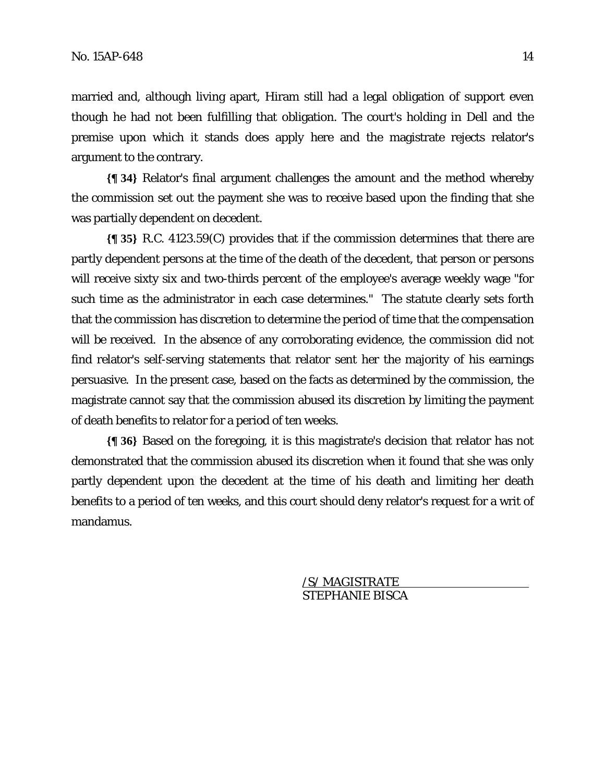married and, although living apart, Hiram still had a legal obligation of support even though he had not been fulfilling that obligation. The court's holding in *Dell* and the premise upon which it stands does apply here and the magistrate rejects relator's argument to the contrary.

**{¶ 34}** Relator's final argument challenges the amount and the method whereby the commission set out the payment she was to receive based upon the finding that she was partially dependent on decedent.

**{¶ 35}** R.C. 4123.59(C) provides that if the commission determines that there are partly dependent persons at the time of the death of the decedent, that person or persons will receive sixty six and two-thirds percent of the employee's average weekly wage "for such time as the administrator in each case determines." The statute clearly sets forth that the commission has discretion to determine the period of time that the compensation will be received. In the absence of any corroborating evidence, the commission did not find relator's self-serving statements that relator sent her the majority of his earnings persuasive. In the present case, based on the facts as determined by the commission, the magistrate cannot say that the commission abused its discretion by limiting the payment of death benefits to relator for a period of ten weeks.

**{¶ 36}** Based on the foregoing, it is this magistrate's decision that relator has not demonstrated that the commission abused its discretion when it found that she was only partly dependent upon the decedent at the time of his death and limiting her death benefits to a period of ten weeks, and this court should deny relator's request for a writ of mandamus.

> /S/ MAGISTRATE STEPHANIE BISCA